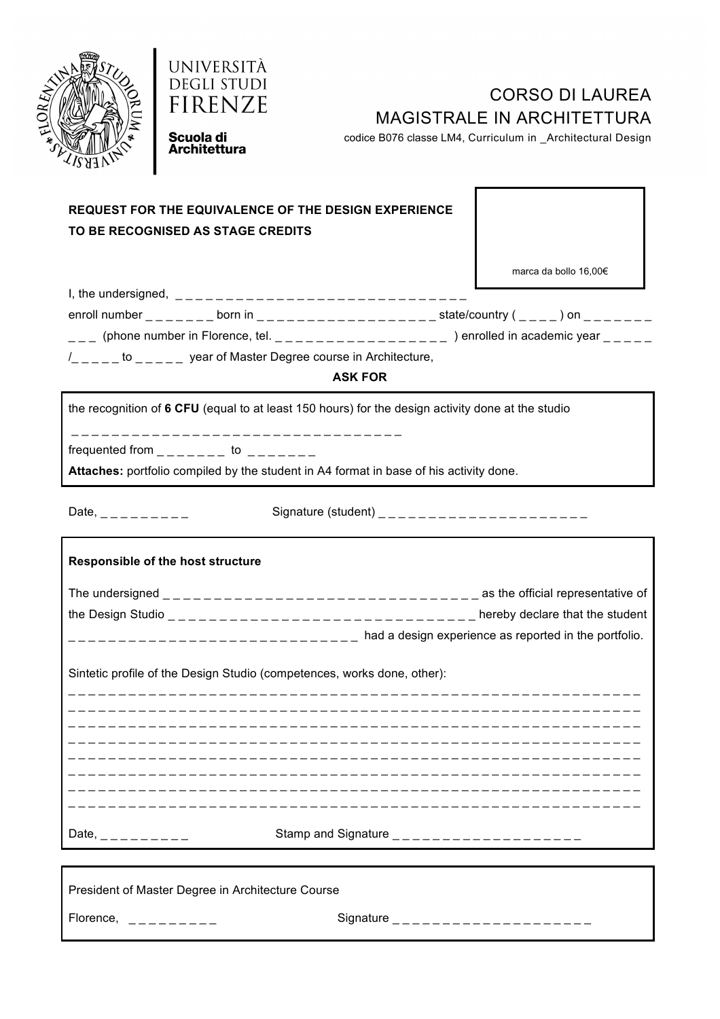



# CORSO DI LAUREA MAGISTRALE IN ARCHITETTURA

codice B076 classe LM4, Curriculum in \_Architectural Design

Scuola di **Architettura** 

### **REQUEST FOR THE EQUIVALENCE OF THE DESIGN EXPERIENCE TO BE RECOGNISED AS STAGE CREDITS**

marca da bollo 16,00€

| I, the undersigned, $\frac{1}{2}$ = $\frac{1}{2}$ = $\frac{1}{2}$ = $\frac{1}{2}$ = $\frac{1}{2}$ = $\frac{1}{2}$ = $\frac{1}{2}$ |                                                                                                                                                                                                                                                                                               |                                                         |
|-----------------------------------------------------------------------------------------------------------------------------------|-----------------------------------------------------------------------------------------------------------------------------------------------------------------------------------------------------------------------------------------------------------------------------------------------|---------------------------------------------------------|
| enroll number $\frac{1}{2}$ $\frac{1}{2}$ $\frac{1}{2}$ $\frac{1}{2}$ born in                                                     |                                                                                                                                                                                                                                                                                               | state/country ( ) on                                    |
|                                                                                                                                   | (phone number in Florence, tel. $\frac{1}{2}$ = $\frac{1}{2}$ = $\frac{1}{2}$ = $\frac{1}{2}$ = $\frac{1}{2}$ = $\frac{1}{2}$ = $\frac{1}{2}$ = $\frac{1}{2}$ = $\frac{1}{2}$ = $\frac{1}{2}$ = $\frac{1}{2}$ = $\frac{1}{2}$ = $\frac{1}{2}$ = $\frac{1}{2}$ = $\frac{1}{2}$ = $\frac{1}{2}$ | ) enrolled in academic year $\frac{1}{2}$ $\frac{1}{2}$ |
| $1$ _ _ _ _ _ to _ _ _ _                                                                                                          | year of Master Degree course in Architecture,                                                                                                                                                                                                                                                 |                                                         |

**ASK FOR**

the recognition of **6 CFU** (equal to at least 150 hours) for the design activity done at the studio

\_ \_ \_ \_ \_ \_ \_ \_ \_ \_ \_ \_ \_ \_ \_ \_ \_ \_ \_ \_ \_ \_ \_ \_ \_ \_ \_ \_ \_ \_ \_ \_ \_

frequented from  $\frac{1}{2}$   $\frac{1}{2}$   $\frac{1}{2}$  to  $\frac{1}{2}$   $\frac{1}{2}$   $\frac{1}{2}$   $\frac{1}{2}$ 

**Attaches:** portfolio compiled by the student in A4 format in base of his activity done.

Date, \_ \_ \_ \_ \_ \_ \_ \_ \_ Signature (student) \_ \_ \_ \_ \_ \_ \_ \_ \_ \_ \_ \_ \_ \_ \_ \_ \_ \_ \_ \_ \_

# **Responsible of the host structure** The undersigned  $\frac{1}{2}$   $\frac{1}{2}$   $\frac{1}{2}$   $\frac{1}{2}$   $\frac{1}{2}$   $\frac{1}{2}$   $\frac{1}{2}$   $\frac{1}{2}$   $\frac{1}{2}$   $\frac{1}{2}$   $\frac{1}{2}$   $\frac{1}{2}$   $\frac{1}{2}$   $\frac{1}{2}$   $\frac{1}{2}$   $\frac{1}{2}$   $\frac{1}{2}$   $\frac{1}{2}$   $\frac{1}{2}$   $\frac{1}{2}$   $\frac{1$ the Design Studio  $\frac{1}{2}$   $\frac{1}{2}$   $\frac{1}{2}$   $\frac{1}{2}$   $\frac{1}{2}$   $\frac{1}{2}$   $\frac{1}{2}$   $\frac{1}{2}$   $\frac{1}{2}$   $\frac{1}{2}$   $\frac{1}{2}$   $\frac{1}{2}$   $\frac{1}{2}$   $\frac{1}{2}$   $\frac{1}{2}$   $\frac{1}{2}$   $\frac{1}{2}$   $\frac{1}{2}$   $\frac{1}{2}$   $\frac{1}{2}$   $\frac$  $\frac{1}{2}$  and  $\frac{1}{2}$  are  $\frac{1}{2}$  and a design experience as reported in the portfolio. Sintetic profile of the Design Studio (competences, works done, other): \_ \_ \_ \_ \_ \_ \_ \_ \_ \_ \_ \_ \_ \_ \_ \_ \_ \_ \_ \_ \_ \_ \_ \_ \_ \_ \_ \_ \_ \_ \_ \_ \_ \_ \_ \_ \_ \_ \_ \_ \_ \_ \_ \_ \_ \_ \_ \_ \_ \_ \_ \_ \_ \_ \_ \_ \_ \_ \_ \_ \_ \_ \_ \_ \_ \_ \_ \_ \_ \_ \_ \_ \_ \_ \_ \_ \_ \_ \_ \_ \_ \_ \_ \_ \_ \_ \_ \_ \_ \_ \_ \_ \_ \_ \_ \_ \_ \_ \_ \_ \_ \_ \_ \_ \_ \_ \_ \_ \_ \_ \_ \_ \_ \_ \_ \_ \_ \_ \_ \_ \_ \_ \_ \_ \_ \_ \_ \_ \_ \_ \_ \_ \_ \_ \_ \_ \_ \_ \_ \_ \_ \_ \_ \_ \_ \_ \_ \_ \_ \_ \_ \_ \_ \_ \_ \_ \_ \_ \_ \_ \_ \_ \_ \_ \_ \_ \_ \_ \_ \_ \_  $\mathcal{L} = \{ \mathcal{L} \mid \mathcal{L} = \mathcal{L} \}$ \_ \_ \_ \_ \_ \_ \_ \_ \_ \_ \_ \_ \_ \_ \_ \_ \_ \_ \_ \_ \_ \_ \_ \_ \_ \_ \_ \_ \_ \_ \_ \_ \_ \_ \_ \_ \_ \_ \_ \_ \_ \_ \_ \_ \_ \_ \_ \_ \_ \_ \_ \_ \_ \_ \_ \_ \_ \_ \_ \_ \_ \_ \_ \_ \_ \_ \_ \_ \_ \_ \_ \_ \_ \_ \_ \_ \_ \_ \_ \_ \_ \_ \_ \_ \_ \_ \_ \_ \_ \_ \_ \_ \_ \_ \_ \_ \_ \_ \_ \_ \_ \_ \_ \_ \_ \_ \_ \_ \_ \_ \_ \_ \_ \_ \_ \_ \_ \_ \_ \_ \_ \_ \_ \_ \_ \_ \_ \_ \_ \_ \_ \_ \_ \_ \_ \_ \_ \_ \_ \_ \_ \_ \_ \_ \_ \_ \_ \_ \_ \_ \_ \_ \_ \_ \_ \_ \_ \_ \_ \_ \_ \_ \_ \_ \_ \_ \_ \_ \_ \_ \_ \_ \_ \_ \_ \_ \_ \_ \_ \_ \_ \_ \_ \_ \_ \_ \_ \_ \_ \_ \_ \_ \_ \_ \_ \_ \_ \_ \_ \_ \_ \_ \_ \_ \_ \_ \_ \_ \_ \_ \_ \_ \_ \_ \_ \_ \_ \_ \_ \_ \_ \_ \_ \_ \_ \_ \_ \_ Date, \_ \_ \_ \_ \_ \_ \_ \_ \_ Stamp and Signature \_ \_ \_ \_ \_ \_ \_ \_ \_ \_ \_ \_ \_ \_ \_ \_ \_ \_ \_

President of Master Degree in Architecture Course

Florence, \_ \_ \_ \_ \_ \_ \_ \_ \_ Signature \_ \_ \_ \_ \_ \_ \_ \_ \_ \_ \_ \_ \_ \_ \_ \_ \_ \_ \_ \_